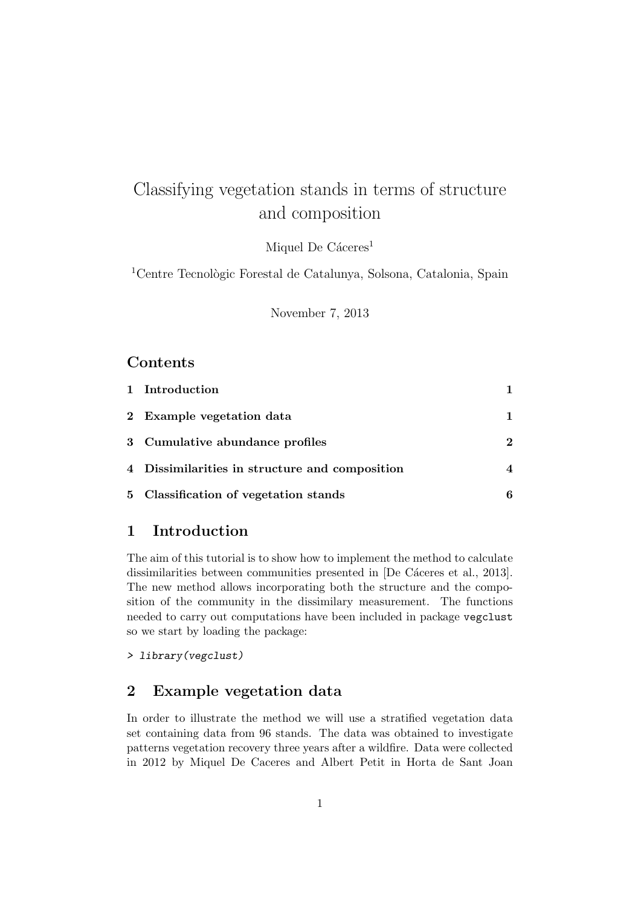# Classifying vegetation stands in terms of structure and composition

Miquel De Cáceres<sup>1</sup>

<sup>1</sup>Centre Tecnològic Forestal de Catalunya, Solsona, Catalonia, Spain

November 7, 2013

#### **Contents**

| 1 Introduction                                 |             |
|------------------------------------------------|-------------|
| 2 Example vegetation data                      | 1.          |
| 3 Cumulative abundance profiles                | $\mathbf 2$ |
| 4 Dissimilarities in structure and composition | 4           |
| 5 Classification of vegetation stands          | 6           |

#### 1 Introduction

The aim of this tutorial is to show how to implement the method to calculate dissimilarities between communities presented in [De Cáceres et al., 2013]. The new method allows incorporating both the structure and the composition of the community in the dissimilary measurement. The functions needed to carry out computations have been included in package vegclust so we start by loading the package:

> library(vegclust)

### 2 Example vegetation data

In order to illustrate the method we will use a stratified vegetation data set containing data from 96 stands. The data was obtained to investigate patterns vegetation recovery three years after a wildfire. Data were collected in 2012 by Miquel De Caceres and Albert Petit in Horta de Sant Joan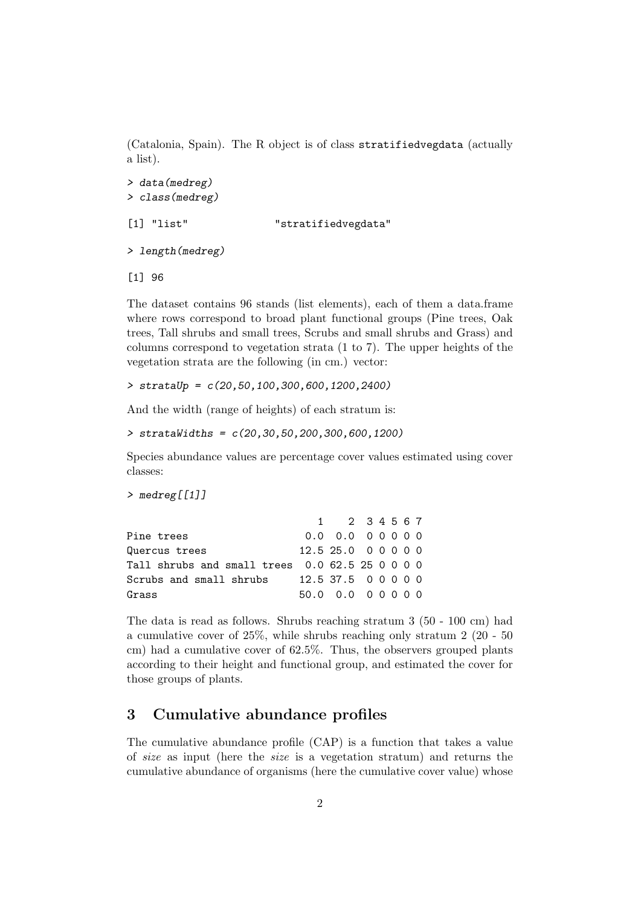(Catalonia, Spain). The R object is of class stratifiedvegdata (actually a list).

```
> data(medreg)
> class(medreg)
[1] "list" "stratifiedvegdata"
```

```
> length(medreg)
```
[1] 96

The dataset contains 96 stands (list elements), each of them a data.frame where rows correspond to broad plant functional groups (Pine trees, Oak trees, Tall shrubs and small trees, Scrubs and small shrubs and Grass) and columns correspond to vegetation strata (1 to 7). The upper heights of the vegetation strata are the following (in cm.) vector:

 $\frac{1}{2}$  strataUp =  $c(20, 50, 100, 300, 600, 1200, 2400)$ 

And the width (range of heights) of each stratum is:

```
\geq strataWidths = c(20.30.50.200.300.600.1200)
```
Species abundance values are percentage cover values estimated using cover classes:

```
> medreg[[1]]
```

|                                             | 1 2 3 4 5 6 7        |  |  |  |
|---------------------------------------------|----------------------|--|--|--|
| Pine trees                                  | $0.0 \t0.0 \t0.0000$ |  |  |  |
| Quercus trees                               | 12.525.000000        |  |  |  |
| Tall shrubs and small trees $0.062.5250000$ |                      |  |  |  |
| Scrubs and small shrubs                     | 12.537.500000        |  |  |  |
| Grass                                       | 50.0 0.0 0 0 0 0 0   |  |  |  |

The data is read as follows. Shrubs reaching stratum 3 (50 - 100 cm) had a cumulative cover of 25%, while shrubs reaching only stratum 2 (20 - 50 cm) had a cumulative cover of 62.5%. Thus, the observers grouped plants according to their height and functional group, and estimated the cover for those groups of plants.

### 3 Cumulative abundance profiles

The cumulative abundance profile (CAP) is a function that takes a value of size as input (here the size is a vegetation stratum) and returns the cumulative abundance of organisms (here the cumulative cover value) whose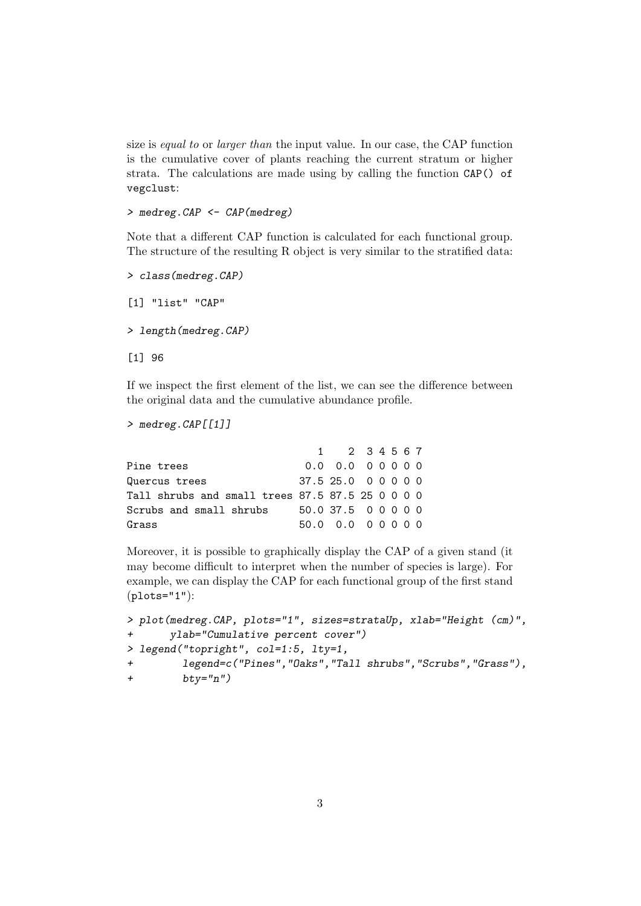size is equal to or larger than the input value. In our case, the CAP function is the cumulative cover of plants reaching the current stratum or higher strata. The calculations are made using by calling the function CAP() of vegclust:

> medreg.CAP <- CAP(medreg)

Note that a different CAP function is calculated for each functional group. The structure of the resulting R object is very similar to the stratified data:

> class(medreg.CAP) [1] "list" "CAP" > length(medreg.CAP) [1] 96

If we inspect the first element of the list, we can see the difference between the original data and the cumulative abundance profile.

```
> medreg.CAP[[1]]
```

|                                                        |                | 1 2 3 4 5 6 7       |  |  |  |
|--------------------------------------------------------|----------------|---------------------|--|--|--|
| Pine trees                                             |                | 0.0 0.0 0 0 0 0 0   |  |  |  |
| Quercus trees                                          |                | 37.5 25.0 0 0 0 0 0 |  |  |  |
| Tall shrubs and small trees $87.5$ $87.5$ $25$ 0 0 0 0 |                |                     |  |  |  |
| Scrubs and small shrubs                                | 50.037.5 00000 |                     |  |  |  |
| Grass                                                  |                | 50.0 0.0 0 0 0 0 0  |  |  |  |

Moreover, it is possible to graphically display the CAP of a given stand (it may become difficult to interpret when the number of species is large). For example, we can display the CAP for each functional group of the first stand  $(plots="1"$ :

```
> plot(medreg.CAP, plots="1", sizes=strataUp, xlab="Height (cm)",
+ ylab="Cumulative percent cover")
> legend("topright", col=1:5, lty=1,
+ legend=c("Pines","Oaks","Tall shrubs","Scrubs","Grass"),
+ btv="n")
```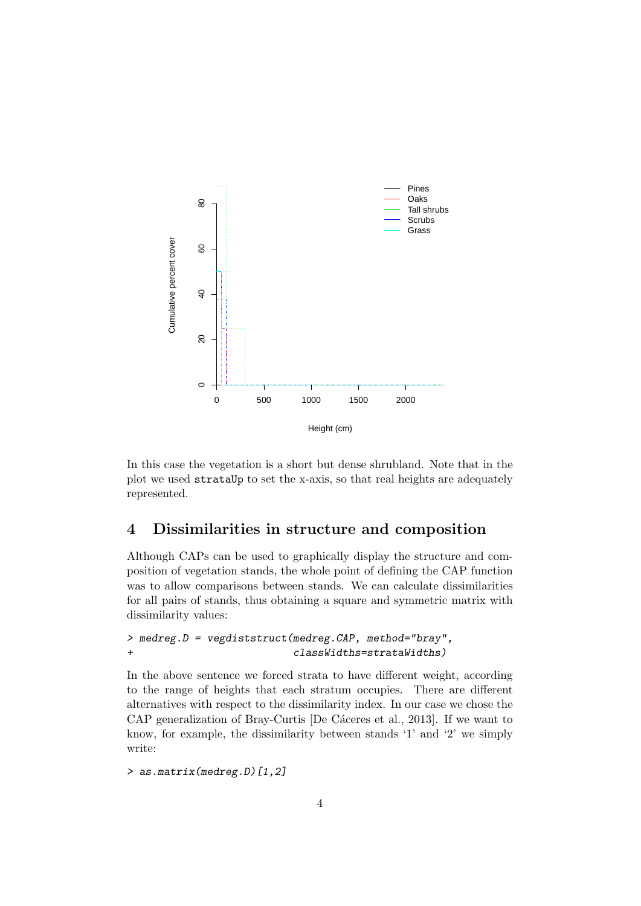

In this case the vegetation is a short but dense shrubland. Note that in the plot we used strataUp to set the x-axis, so that real heights are adequately represented.

#### 4 Dissimilarities in structure and composition

Although CAPs can be used to graphically display the structure and composition of vegetation stands, the whole point of defining the CAP function was to allow comparisons between stands. We can calculate dissimilarities for all pairs of stands, thus obtaining a square and symmetric matrix with dissimilarity values:

#### > medreg.D = vegdiststruct(medreg.CAP, method="bray", + classWidths=strataWidths)

In the above sentence we forced strata to have different weight, according to the range of heights that each stratum occupies. There are different alternatives with respect to the dissimilarity index. In our case we chose the CAP generalization of Bray-Curtis [De Cáceres et al., 2013]. If we want to know, for example, the dissimilarity between stands '1' and '2' we simply write:

> as.matrix(medreg.D)[1,2]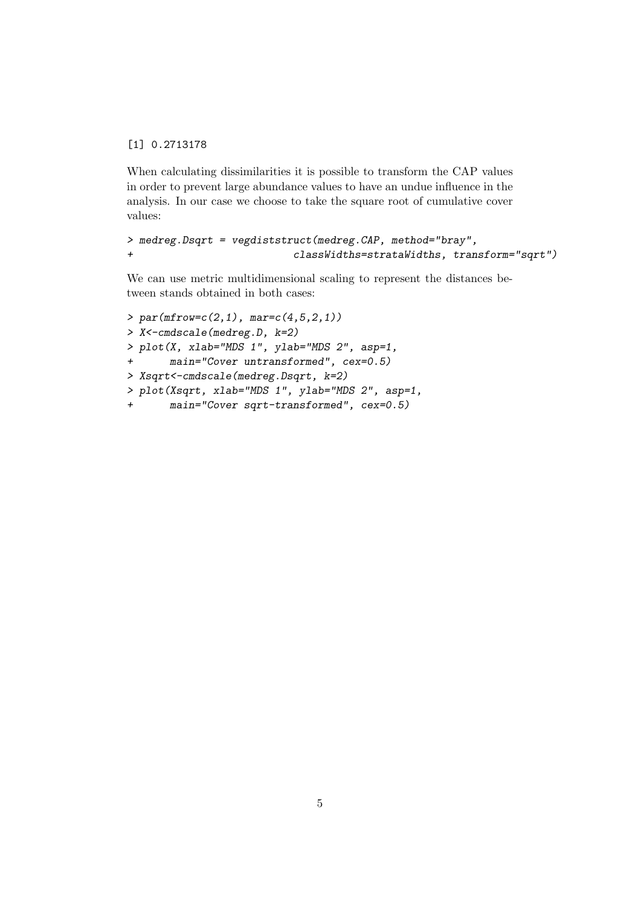[1] 0.2713178

When calculating dissimilarities it is possible to transform the CAP values in order to prevent large abundance values to have an undue influence in the analysis. In our case we choose to take the square root of cumulative cover values:

```
> medreg.Dsqrt = vegdiststruct(medreg.CAP, method="bray",
+ classWidths=strataWidths, transform="sqrt")
```
We can use metric multidimensional scaling to represent the distances between stands obtained in both cases:

```
> par( m from = c(2,1), m are = c(4,5,2,1))> X<-cmdscale(medreg.D, k=2)
> plot(X, xlab="MDS 1", ylab="MDS 2", asp=1,
+ main="Cover untransformed", cex=0.5)
> Xsqrt<-cmdscale(medreg.Dsqrt, k=2)
> plot(Xsqrt, xlab="MDS 1", ylab="MDS 2", asp=1,
+ main="Cover sqrt-transformed", cex=0.5)
```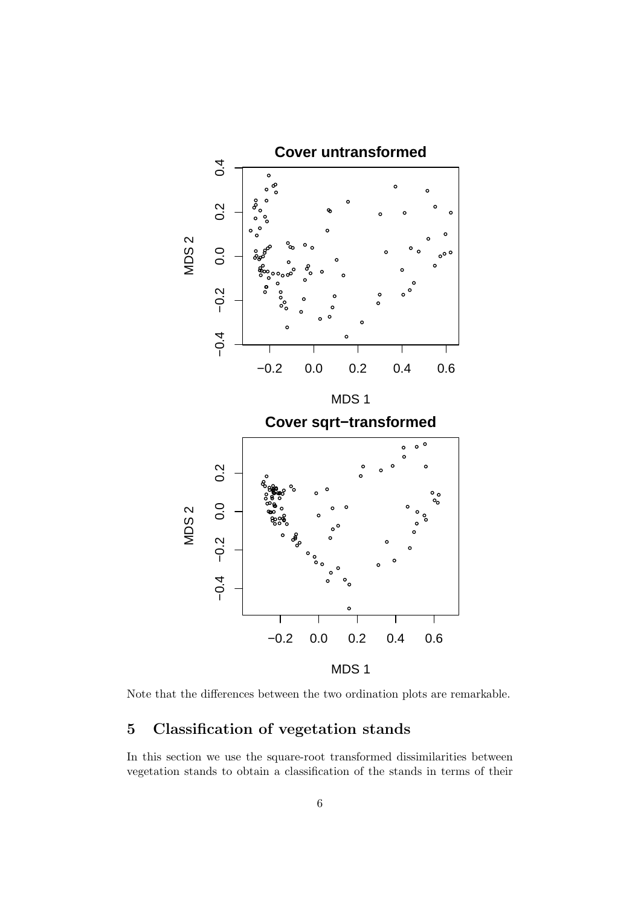

Note that the differences between the two ordination plots are remarkable.

### 5 Classification of vegetation stands

In this section we use the square-root transformed dissimilarities between vegetation stands to obtain a classification of the stands in terms of their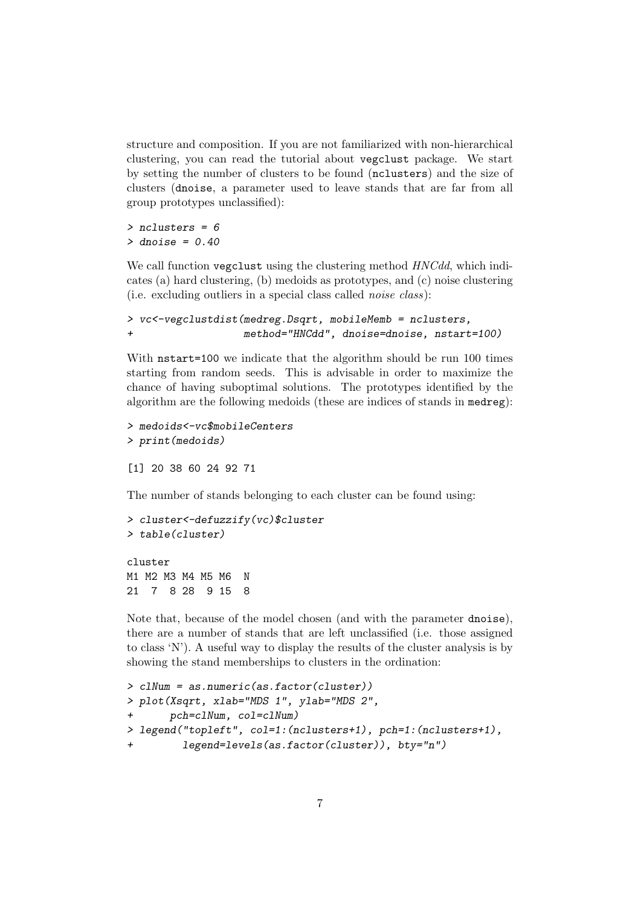structure and composition. If you are not familiarized with non-hierarchical clustering, you can read the tutorial about vegclust package. We start by setting the number of clusters to be found (nclusters) and the size of clusters (dnoise, a parameter used to leave stands that are far from all group prototypes unclassified):

> nclusters = 6  $>$  dnoise = 0.40

We call function vegclust using the clustering method  $HNCdd$ , which indicates (a) hard clustering, (b) medoids as prototypes, and (c) noise clustering (i.e. excluding outliers in a special class called noise class):

```
> vc<-vegclustdist(medreg.Dsqrt, mobileMemb = nclusters,
+ method="HNCdd", dnoise=dnoise, nstart=100)
```
With  $n$  nstart=100 we indicate that the algorithm should be run 100 times starting from random seeds. This is advisable in order to maximize the chance of having suboptimal solutions. The prototypes identified by the algorithm are the following medoids (these are indices of stands in medreg):

```
> medoids<-vc$mobileCenters
> print(medoids)
```
[1] 20 38 60 24 92 71

The number of stands belonging to each cluster can be found using:

```
> cluster<-defuzzify(vc)$cluster
> table(cluster)
cluster
```
M1 M2 M3 M4 M5 M6 N 21 7 8 28 9 15 8

Note that, because of the model chosen (and with the parameter dnoise), there are a number of stands that are left unclassified (i.e. those assigned to class 'N'). A useful way to display the results of the cluster analysis is by showing the stand memberships to clusters in the ordination:

```
> clNum = as.numeric(as.factor(cluster))
> plot(Xsqrt, xlab="MDS 1", ylab="MDS 2",
+ pch=clNum, col=clNum)
> legend("topleft", col=1:(nclusters+1), pch=1:(nclusters+1),
         legend=levels(as.factor(cluster)), bty="n")
```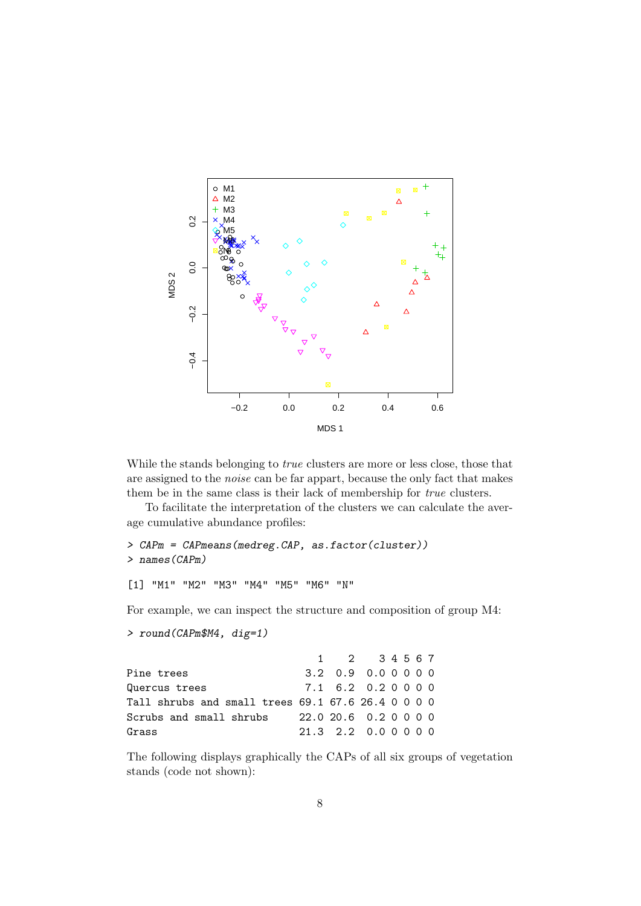

While the stands belonging to *true* clusters are more or less close, those that are assigned to the noise can be far appart, because the only fact that makes them be in the same class is their lack of membership for true clusters.

To facilitate the interpretation of the clusters we can calculate the average cumulative abundance profiles:

```
> CAPm = CAPmeans(medreg.CAP, as.factor(cluster))
> names(CAPm)
```
[1] "M1" "M2" "M3" "M4" "M5" "M6" "N"

For example, we can inspect the structure and composition of group M4:

```
> round(CAPm$M4, dig=1)
```

|                                                    |                       | 1 2 34567            |  |  |  |
|----------------------------------------------------|-----------------------|----------------------|--|--|--|
| Pine trees                                         |                       | 3.2 0.9 0.0 0 0 0 0  |  |  |  |
| Quercus trees                                      |                       | 7.1 6.2 0.2 0 0 0 0  |  |  |  |
| Tall shrubs and small trees 69.1 67.6 26.4 0 0 0 0 |                       |                      |  |  |  |
| Scrubs and small shrubs                            | 22.0 20.6 0.2 0 0 0 0 |                      |  |  |  |
| Grass                                              |                       | 21.3 2.2 0.0 0 0 0 0 |  |  |  |

The following displays graphically the CAPs of all six groups of vegetation stands (code not shown):